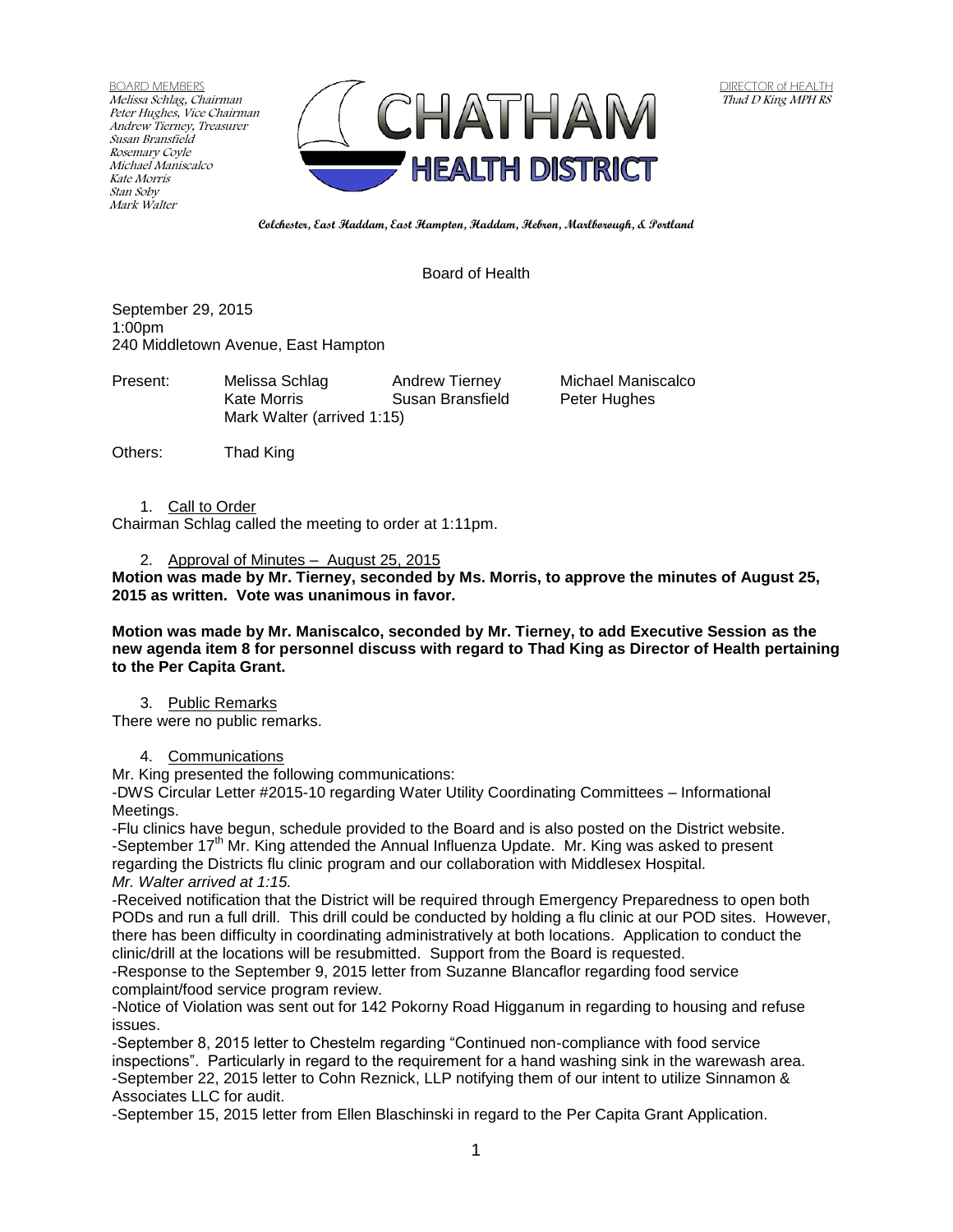BOARD MEMBERS Melissa Schlag, Chairman Peter Hughes, Vice Chairman Andrew Tierney, Treasurer Susan Bransfield Rosemary Coyle Michael Maniscalco Kate Morris Stan Soby Mark Walter



**Colchester, East Haddam, East Hampton, Haddam, Hebron, Marlborough, & Portland**

## Board of Health

September 29, 2015 1:00pm 240 Middletown Avenue, East Hampton

Present: Melissa Schlag Andrew Tierney Michael Maniscalco Kate Morris **Susan Bransfield** Peter Hughes Mark Walter (arrived 1:15)

Others: Thad King

1. Call to Order

Chairman Schlag called the meeting to order at 1:11pm.

#### 2. Approval of Minutes – August 25, 2015

**Motion was made by Mr. Tierney, seconded by Ms. Morris, to approve the minutes of August 25, 2015 as written. Vote was unanimous in favor.**

**Motion was made by Mr. Maniscalco, seconded by Mr. Tierney, to add Executive Session as the new agenda item 8 for personnel discuss with regard to Thad King as Director of Health pertaining to the Per Capita Grant.**

## 3. Public Remarks

There were no public remarks.

### 4. Communications

Mr. King presented the following communications:

-DWS Circular Letter #2015-10 regarding Water Utility Coordinating Committees – Informational Meetings.

-Flu clinics have begun, schedule provided to the Board and is also posted on the District website. -September 17<sup>th</sup> Mr. King attended the Annual Influenza Update. Mr. King was asked to present regarding the Districts flu clinic program and our collaboration with Middlesex Hospital. *Mr. Walter arrived at 1:15.*

-Received notification that the District will be required through Emergency Preparedness to open both PODs and run a full drill. This drill could be conducted by holding a flu clinic at our POD sites. However, there has been difficulty in coordinating administratively at both locations. Application to conduct the clinic/drill at the locations will be resubmitted. Support from the Board is requested.

-Response to the September 9, 2015 letter from Suzanne Blancaflor regarding food service complaint/food service program review.

-Notice of Violation was sent out for 142 Pokorny Road Higganum in regarding to housing and refuse issues.

-September 8, 2015 letter to Chestelm regarding "Continued non-compliance with food service inspections". Particularly in regard to the requirement for a hand washing sink in the warewash area. -September 22, 2015 letter to Cohn Reznick, LLP notifying them of our intent to utilize Sinnamon & Associates LLC for audit.

-September 15, 2015 letter from Ellen Blaschinski in regard to the Per Capita Grant Application.